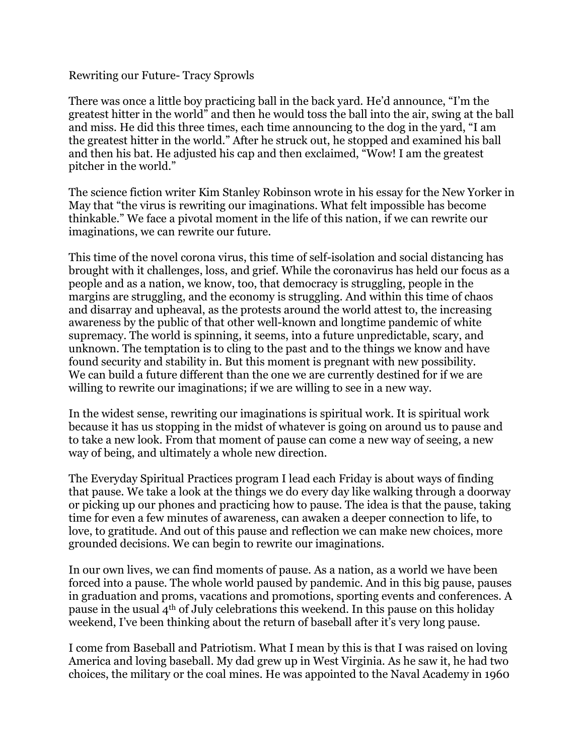Rewriting our Future- Tracy Sprowls

There was once a little boy practicing ball in the back yard. He'd announce, "I'm the greatest hitter in the world" and then he would toss the ball into the air, swing at the ball and miss. He did this three times, each time announcing to the dog in the yard, "I am the greatest hitter in the world." After he struck out, he stopped and examined his ball and then his bat. He adjusted his cap and then exclaimed, "Wow! I am the greatest pitcher in the world."

The science fiction writer Kim Stanley Robinson wrote in his essay for the New Yorker in May that "the virus is rewriting our imaginations. What felt impossible has become thinkable." We face a pivotal moment in the life of this nation, if we can rewrite our imaginations, we can rewrite our future.

This time of the novel corona virus, this time of self-isolation and social distancing has brought with it challenges, loss, and grief. While the coronavirus has held our focus as a people and as a nation, we know, too, that democracy is struggling, people in the margins are struggling, and the economy is struggling. And within this time of chaos and disarray and upheaval, as the protests around the world attest to, the increasing awareness by the public of that other well-known and longtime pandemic of white supremacy. The world is spinning, it seems, into a future unpredictable, scary, and unknown. The temptation is to cling to the past and to the things we know and have found security and stability in. But this moment is pregnant with new possibility. We can build a future different than the one we are currently destined for if we are willing to rewrite our imaginations; if we are willing to see in a new way.

In the widest sense, rewriting our imaginations is spiritual work. It is spiritual work because it has us stopping in the midst of whatever is going on around us to pause and to take a new look. From that moment of pause can come a new way of seeing, a new way of being, and ultimately a whole new direction.

The Everyday Spiritual Practices program I lead each Friday is about ways of finding that pause. We take a look at the things we do every day like walking through a doorway or picking up our phones and practicing how to pause. The idea is that the pause, taking time for even a few minutes of awareness, can awaken a deeper connection to life, to love, to gratitude. And out of this pause and reflection we can make new choices, more grounded decisions. We can begin to rewrite our imaginations.

In our own lives, we can find moments of pause. As a nation, as a world we have been forced into a pause. The whole world paused by pandemic. And in this big pause, pauses in graduation and proms, vacations and promotions, sporting events and conferences. A pause in the usual 4th of July celebrations this weekend. In this pause on this holiday weekend, I've been thinking about the return of baseball after it's very long pause.

I come from Baseball and Patriotism. What I mean by this is that I was raised on loving America and loving baseball. My dad grew up in West Virginia. As he saw it, he had two choices, the military or the coal mines. He was appointed to the Naval Academy in 1960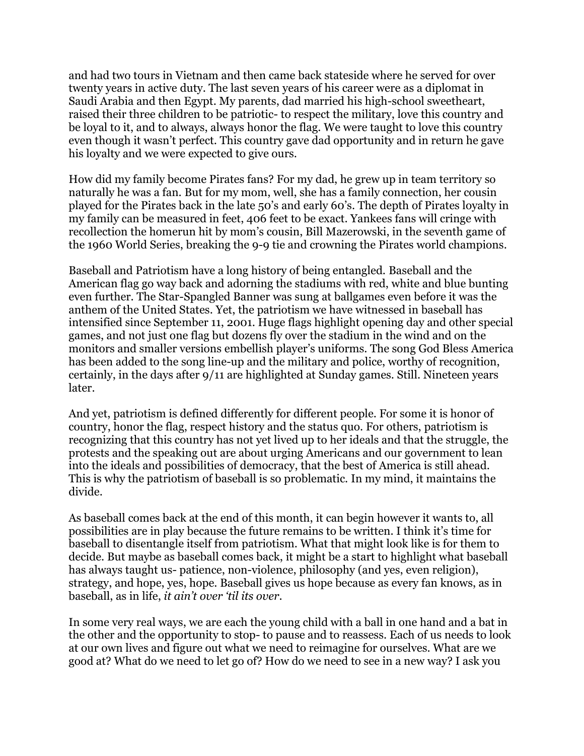and had two tours in Vietnam and then came back stateside where he served for over twenty years in active duty. The last seven years of his career were as a diplomat in Saudi Arabia and then Egypt. My parents, dad married his high-school sweetheart, raised their three children to be patriotic- to respect the military, love this country and be loyal to it, and to always, always honor the flag. We were taught to love this country even though it wasn't perfect. This country gave dad opportunity and in return he gave his loyalty and we were expected to give ours.

How did my family become Pirates fans? For my dad, he grew up in team territory so naturally he was a fan. But for my mom, well, she has a family connection, her cousin played for the Pirates back in the late 50's and early 60's. The depth of Pirates loyalty in my family can be measured in feet, 406 feet to be exact. Yankees fans will cringe with recollection the homerun hit by mom's cousin, Bill Mazerowski, in the seventh game of the 1960 World Series, breaking the 9-9 tie and crowning the Pirates world champions.

Baseball and Patriotism have a long history of being entangled. Baseball and the American flag go way back and adorning the stadiums with red, white and blue bunting even further. The Star-Spangled Banner was sung at ballgames even before it was the anthem of the United States. Yet, the patriotism we have witnessed in baseball has intensified since September 11, 2001. Huge flags highlight opening day and other special games, and not just one flag but dozens fly over the stadium in the wind and on the monitors and smaller versions embellish player's uniforms. The song God Bless America has been added to the song line-up and the military and police, worthy of recognition, certainly, in the days after 9/11 are highlighted at Sunday games. Still. Nineteen years later.

And yet, patriotism is defined differently for different people. For some it is honor of country, honor the flag, respect history and the status quo. For others, patriotism is recognizing that this country has not yet lived up to her ideals and that the struggle, the protests and the speaking out are about urging Americans and our government to lean into the ideals and possibilities of democracy, that the best of America is still ahead. This is why the patriotism of baseball is so problematic. In my mind, it maintains the divide.

As baseball comes back at the end of this month, it can begin however it wants to, all possibilities are in play because the future remains to be written. I think it's time for baseball to disentangle itself from patriotism. What that might look like is for them to decide. But maybe as baseball comes back, it might be a start to highlight what baseball has always taught us- patience, non-violence, philosophy (and yes, even religion), strategy, and hope, yes, hope. Baseball gives us hope because as every fan knows, as in baseball, as in life, *it ain't over 'til its over*.

In some very real ways, we are each the young child with a ball in one hand and a bat in the other and the opportunity to stop- to pause and to reassess. Each of us needs to look at our own lives and figure out what we need to reimagine for ourselves. What are we good at? What do we need to let go of? How do we need to see in a new way? I ask you